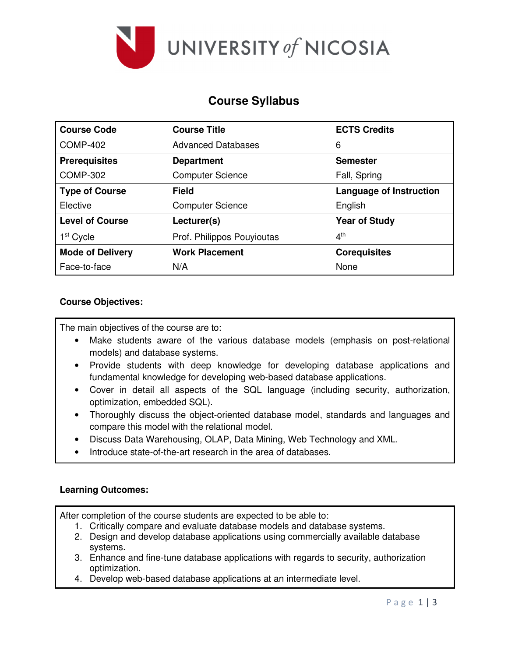

# **Course Syllabus**

| <b>Course Code</b>      | <b>Course Title</b>        | <b>ECTS Credits</b>            |
|-------------------------|----------------------------|--------------------------------|
| <b>COMP-402</b>         | <b>Advanced Databases</b>  | 6                              |
| <b>Prerequisites</b>    | <b>Department</b>          | <b>Semester</b>                |
| <b>COMP-302</b>         | <b>Computer Science</b>    | Fall, Spring                   |
| <b>Type of Course</b>   | Field                      | <b>Language of Instruction</b> |
| Elective                | <b>Computer Science</b>    | English                        |
| <b>Level of Course</b>  | Lecturer(s)                | <b>Year of Study</b>           |
| 1 <sup>st</sup> Cycle   | Prof. Philippos Pouyioutas | 4 <sup>th</sup>                |
| <b>Mode of Delivery</b> | <b>Work Placement</b>      | <b>Corequisites</b>            |
| Face-to-face            | N/A                        | None                           |

## **Course Objectives:**

The main objectives of the course are to:

- Make students aware of the various database models (emphasis on post-relational models) and database systems.
- Provide students with deep knowledge for developing database applications and fundamental knowledge for developing web-based database applications.
- Cover in detail all aspects of the SQL language (including security, authorization, optimization, embedded SQL).
- Thoroughly discuss the object-oriented database model, standards and languages and compare this model with the relational model.
- Discuss Data Warehousing, OLAP, Data Mining, Web Technology and XML.
- Introduce state-of-the-art research in the area of databases.

## **Learning Outcomes:**

After completion of the course students are expected to be able to:

- 1. Critically compare and evaluate database models and database systems.
- 2. Design and develop database applications using commercially available database systems.
- 3. Enhance and fine-tune database applications with regards to security, authorization optimization.
- 4. Develop web-based database applications at an intermediate level.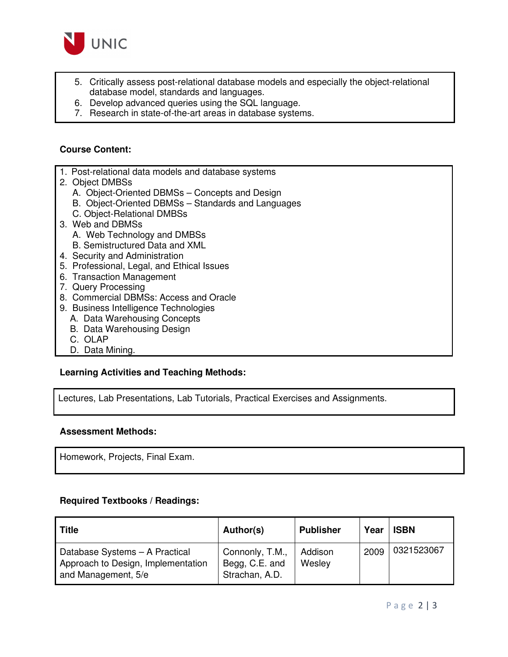

- 5. Critically assess post-relational database models and especially the object-relational database model, standards and languages.
- 6. Develop advanced queries using the SQL language.
- 7. Research in state-of-the-art areas in database systems.

### **Course Content:**

- 1. Post-relational data models and database systems
- 2. Object DMBSs
	- A. Object-Oriented DBMSs Concepts and Design
	- B. Object-Oriented DBMSs Standards and Languages
	- C. Object-Relational DMBSs
- 3. Web and DBMSs
	- A. Web Technology and DMBSs
- B. Semistructured Data and XML
- 4. Security and Administration
- 5. Professional, Legal, and Ethical Issues
- 6. Transaction Management
- 7. Query Processing
- 8. Commercial DBMSs: Access and Oracle
- 9. Business Intelligence Technologies
	- A. Data Warehousing Concepts
	- B. Data Warehousing Design
	- C. OLAP
	- D. Data Mining.

### **Learning Activities and Teaching Methods:**

Lectures, Lab Presentations, Lab Tutorials, Practical Exercises and Assignments.

#### **Assessment Methods:**

Homework, Projects, Final Exam.

#### **Required Textbooks / Readings:**

| <b>Title</b>                                                                                | Author(s)                                           | <b>Publisher</b>  | Year | <b>ISBN</b> |
|---------------------------------------------------------------------------------------------|-----------------------------------------------------|-------------------|------|-------------|
| Database Systems - A Practical<br>Approach to Design, Implementation<br>and Management, 5/e | Connonly, T.M.,<br>Begg, C.E. and<br>Strachan, A.D. | Addison<br>Wesley | 2009 | 0321523067  |